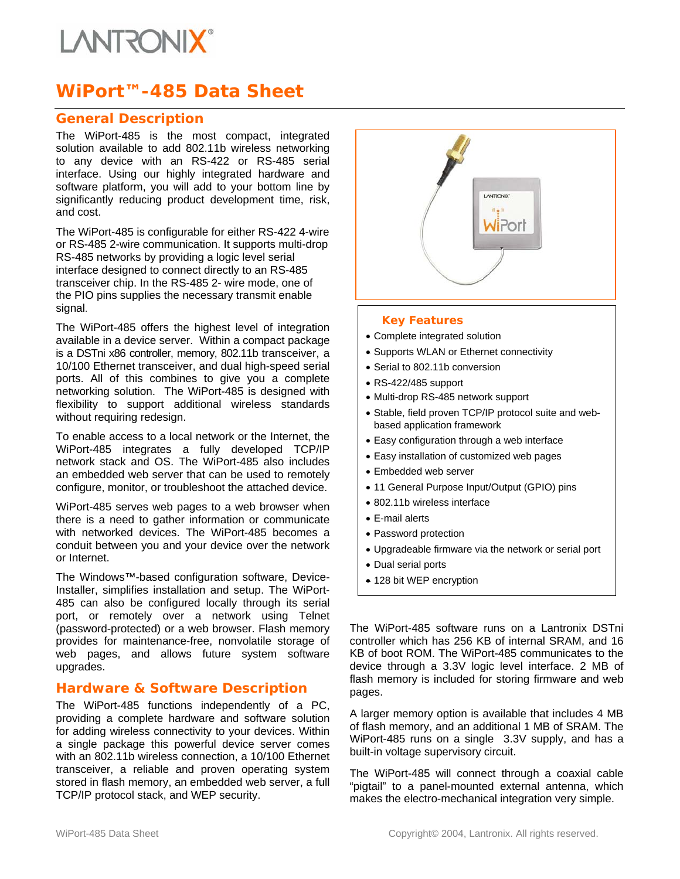# **I ANTRONIX**

# **WiPort™-485 Data Sheet**

### **General Description**

The WiPort-485 is the most compact, integrated solution available to add 802.11b wireless networking to any device with an RS-422 or RS-485 serial interface. Using our highly integrated hardware and software platform, you will add to your bottom line by significantly reducing product development time, risk, and cost.

The WiPort-485 is configurable for either RS-422 4-wire or RS-485 2-wire communication. It supports multi-drop RS-485 networks by providing a logic level serial interface designed to connect directly to an RS-485 transceiver chip. In the RS-485 2- wire mode, one of the PIO pins supplies the necessary transmit enable signal.

The WiPort-485 offers the highest level of integration available in a device server. Within a compact package is a DSTni x86 controller, memory, 802.11b transceiver, a 10/100 Ethernet transceiver, and dual high-speed serial ports. All of this combines to give you a complete networking solution. The WiPort-485 is designed with flexibility to support additional wireless standards without requiring redesign.

To enable access to a local network or the Internet, the WiPort-485 integrates a fully developed TCP/IP network stack and OS. The WiPort-485 also includes an embedded web server that can be used to remotely configure, monitor, or troubleshoot the attached device.

WiPort-485 serves web pages to a web browser when there is a need to gather information or communicate with networked devices. The WiPort-485 becomes a conduit between you and your device over the network or Internet.

The Windows™-based configuration software, Device-Installer, simplifies installation and setup. The WiPort-485 can also be configured locally through its serial port, or remotely over a network using Telnet (password-protected) or a web browser. Flash memory provides for maintenance-free, nonvolatile storage of web pages, and allows future system software upgrades.

### **Hardware & Software Description**

The WiPort-485 functions independently of a PC, providing a complete hardware and software solution for adding wireless connectivity to your devices. Within a single package this powerful device server comes with an 802.11b wireless connection, a 10/100 Ethernet transceiver, a reliable and proven operating system stored in flash memory, an embedded web server, a full TCP/IP protocol stack, and WEP security.



#### *Key Features*

- Complete integrated solution
- Supports WLAN or Ethernet connectivity
- Serial to 802.11b conversion
- RS-422/485 support
- Multi-drop RS-485 network support
- Stable, field proven TCP/IP protocol suite and webbased application framework
- Easy configuration through a web interface
- Easy installation of customized web pages
- Embedded web server
- 11 General Purpose Input/Output (GPIO) pins
- 802.11b wireless interface
- E-mail alerts
- Password protection
- Upgradeable firmware via the network or serial port
- Dual serial ports
- 128 bit WEP encryption

The WiPort-485 software runs on a Lantronix DSTni controller which has 256 KB of internal SRAM, and 16 KB of boot ROM. The WiPort-485 communicates to the device through a 3.3V logic level interface. 2 MB of flash memory is included for storing firmware and web pages.

A larger memory option is available that includes 4 MB of flash memory, and an additional 1 MB of SRAM. The WiPort-485 runs on a single 3.3V supply, and has a built-in voltage supervisory circuit.

The WiPort-485 will connect through a coaxial cable "pigtail" to a panel-mounted external antenna, which makes the electro-mechanical integration very simple.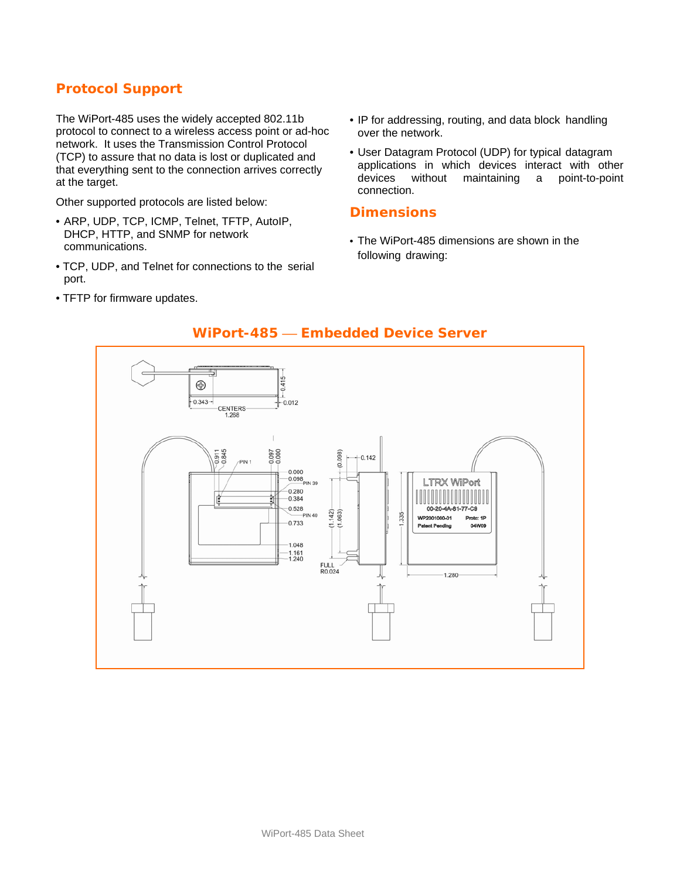## **Protocol Support**

The WiPort-485 uses the widely accepted 802.11b protocol to connect to a wireless access point or ad-hoc network. It uses the Transmission Control Protocol (TCP) to assure that no data is lost or duplicated and that everything sent to the connection arrives correctly at the target.

Other supported protocols are listed below:

- ARP, UDP, TCP, ICMP, Telnet, TFTP, AutoIP, DHCP, HTTP, and SNMP for network communications.
- TCP, UDP, and Telnet for connections to the serial port.
- TFTP for firmware updates.
- IP for addressing, routing, and data block handling over the network.
- User Datagram Protocol (UDP) for typical datagram applications in which devices interact with other<br>devices without maintaining a point-to-point without maintaining a point-to-point connection.

#### **Dimensions**

• The WiPort-485 dimensions are shown in the following drawing:



## **WiPort-485 — Embedded Device Server**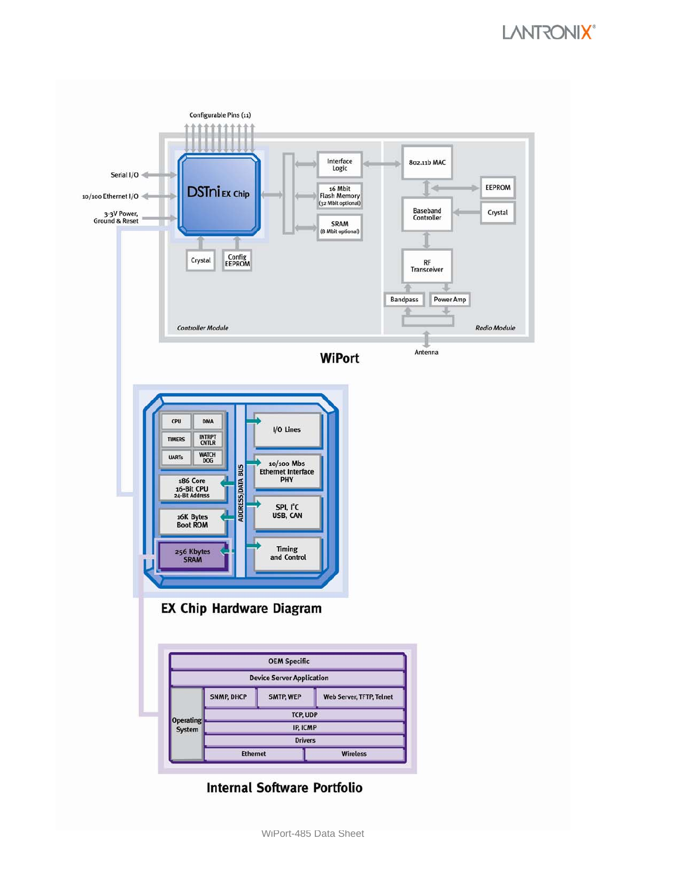

**Internal Software Portfolio**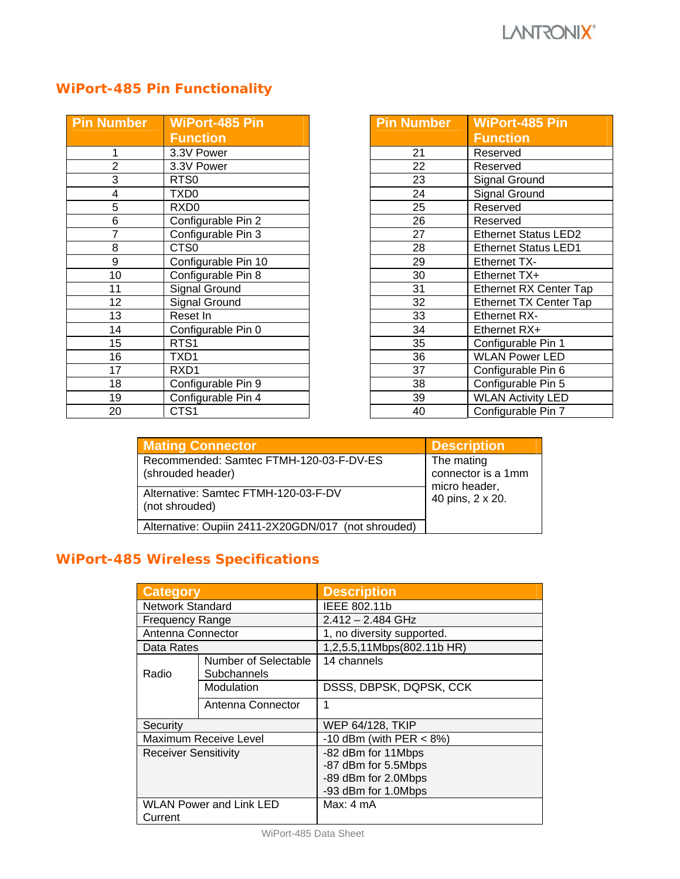# **WiPort-485 Pin Functionality**

| <b>Pin Number</b> | <b>WiPort-485 Pin</b> |  |
|-------------------|-----------------------|--|
|                   | <b>Function</b>       |  |
| 1                 | 3.3V Power            |  |
| $\overline{2}$    | 3.3V Power            |  |
| 3                 | RTS <sub>0</sub>      |  |
| 4                 | TXD <sub>0</sub>      |  |
| 5                 | RXD <sub>0</sub>      |  |
| 6                 | Configurable Pin 2    |  |
| 7                 | Configurable Pin 3    |  |
| 8                 | CTS <sub>0</sub>      |  |
| 9                 | Configurable Pin 10   |  |
| 10                | Configurable Pin 8    |  |
| 11                | <b>Signal Ground</b>  |  |
| 12                | <b>Signal Ground</b>  |  |
| 13                | Reset In              |  |
| 14                | Configurable Pin 0    |  |
| 15                | RTS1                  |  |
| 16                | TXD1                  |  |
| 17                | RXD1                  |  |
| 18                | Configurable Pin 9    |  |
| 19                | Configurable Pin 4    |  |
| 20                | CTS <sub>1</sub>      |  |

| <b>Pin Number</b> | <b>WiPort-485 Pin</b>         |  |
|-------------------|-------------------------------|--|
|                   | <b>Function</b>               |  |
| 21                | Reserved                      |  |
| $\overline{22}$   | Reserved                      |  |
| 23                | Signal Ground                 |  |
| 24                | Signal Ground                 |  |
| 25                | Reserved                      |  |
| 26                | Reserved                      |  |
| 27                | <b>Ethernet Status LED2</b>   |  |
| 28                | <b>Ethernet Status LED1</b>   |  |
| 29                | <b>Ethernet TX-</b>           |  |
| 30                | Ethernet TX+                  |  |
| 31                | <b>Ethernet RX Center Tap</b> |  |
| 32                | <b>Ethernet TX Center Tap</b> |  |
| 33                | <b>Ethernet RX-</b>           |  |
| 34                | Ethernet RX+                  |  |
| 35                | Configurable Pin 1            |  |
| 36                | <b>WLAN Power LED</b>         |  |
| 37                | Configurable Pin 6            |  |
| 38                | Configurable Pin 5            |  |
| 39                | <b>WLAN Activity LED</b>      |  |
| 40                | Configurable Pin 7            |  |

| <b>Mating Connector</b>                                      | <b>Description</b>                                |
|--------------------------------------------------------------|---------------------------------------------------|
| Recommended: Samtec FTMH-120-03-F-DV-ES<br>(shrouded header) | The mating<br>connector is a 1mm<br>micro header, |
| Alternative: Samtec FTMH-120-03-F-DV<br>(not shrouded)       | 40 pins, 2 x 20.                                  |
| Alternative: Oupiin 2411-2X20GDN/017 (not shrouded)          |                                                   |

# **WiPort-485 Wireless Specifications**

| <b>Category</b>                           |                                     | <b>Description</b>                                                                      |  |
|-------------------------------------------|-------------------------------------|-----------------------------------------------------------------------------------------|--|
| Network Standard                          |                                     | IEEE 802.11b                                                                            |  |
| <b>Frequency Range</b>                    |                                     | $2.412 - 2.484$ GHz                                                                     |  |
| Antenna Connector                         |                                     | 1, no diversity supported.                                                              |  |
| Data Rates                                |                                     | 1,2,5.5,11Mbps(802.11b HR)                                                              |  |
| Radio                                     | Number of Selectable<br>Subchannels | 14 channels                                                                             |  |
|                                           | Modulation                          | DSSS, DBPSK, DQPSK, CCK                                                                 |  |
|                                           | Antenna Connector                   | 1                                                                                       |  |
| Security                                  |                                     | <b>WEP 64/128, TKIP</b>                                                                 |  |
| Maximum Receive Level                     |                                     | -10 dBm (with PER $<$ 8%)                                                               |  |
| <b>Receiver Sensitivity</b>               |                                     | -82 dBm for 11Mbps<br>-87 dBm for 5.5Mbps<br>-89 dBm for 2.0Mbps<br>-93 dBm for 1.0Mbps |  |
| <b>WLAN Power and Link LED</b><br>Current |                                     | Max: 4 mA                                                                               |  |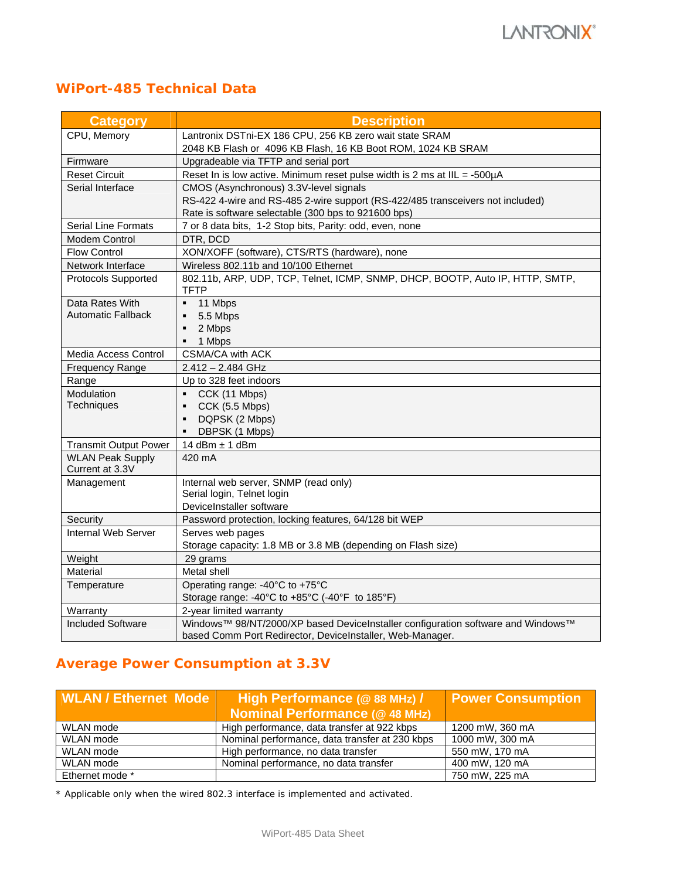## **WiPort-485 Technical Data**

| <b>Category</b>                            | <b>Description</b>                                                                    |
|--------------------------------------------|---------------------------------------------------------------------------------------|
| CPU, Memory                                | Lantronix DSTni-EX 186 CPU, 256 KB zero wait state SRAM                               |
|                                            | 2048 KB Flash or 4096 KB Flash, 16 KB Boot ROM, 1024 KB SRAM                          |
| Firmware                                   | Upgradeable via TFTP and serial port                                                  |
| <b>Reset Circuit</b>                       | Reset In is low active. Minimum reset pulse width is 2 ms at IIL = -500µA             |
| Serial Interface                           | CMOS (Asynchronous) 3.3V-level signals                                                |
|                                            | RS-422 4-wire and RS-485 2-wire support (RS-422/485 transceivers not included)        |
|                                            | Rate is software selectable (300 bps to 921600 bps)                                   |
| Serial Line Formats                        | 7 or 8 data bits, 1-2 Stop bits, Parity: odd, even, none                              |
| Modem Control                              | DTR, DCD                                                                              |
| <b>Flow Control</b>                        | XON/XOFF (software), CTS/RTS (hardware), none                                         |
| Network Interface                          | Wireless 802.11b and 10/100 Ethernet                                                  |
| Protocols Supported                        | 802.11b, ARP, UDP, TCP, Telnet, ICMP, SNMP, DHCP, BOOTP, Auto IP, HTTP, SMTP,<br>TFTP |
| Data Rates With                            | 11 Mbps<br>٠                                                                          |
| <b>Automatic Fallback</b>                  | 5.5 Mbps                                                                              |
|                                            | 2 Mbps<br>٠                                                                           |
|                                            | 1 Mbps<br>٠                                                                           |
| Media Access Control                       | CSMA/CA with ACK                                                                      |
| <b>Frequency Range</b>                     | $2.412 - 2.484$ GHz                                                                   |
| Range                                      | Up to 328 feet indoors                                                                |
| Modulation                                 | CCK (11 Mbps)                                                                         |
| Techniques                                 | CCK (5.5 Mbps)<br>٠                                                                   |
|                                            | DQPSK (2 Mbps)<br>٠                                                                   |
|                                            | DBPSK (1 Mbps)<br>٠                                                                   |
| <b>Transmit Output Power</b>               | 14 dBm $\pm$ 1 dBm                                                                    |
| <b>WLAN Peak Supply</b><br>Current at 3.3V | 420 mA                                                                                |
| Management                                 | Internal web server, SNMP (read only)                                                 |
|                                            | Serial login, Telnet login                                                            |
|                                            | DeviceInstaller software                                                              |
| Security                                   | Password protection, locking features, 64/128 bit WEP                                 |
| Internal Web Server                        | Serves web pages                                                                      |
|                                            | Storage capacity: 1.8 MB or 3.8 MB (depending on Flash size)                          |
| Weight                                     | 29 grams                                                                              |
| Material                                   | Metal shell                                                                           |
| Temperature                                | Operating range: -40°C to +75°C                                                       |
|                                            | Storage range: -40°C to +85°C (-40°F to 185°F)                                        |
| Warranty                                   | 2-year limited warranty                                                               |
| <b>Included Software</b>                   | Windows™ 98/NT/2000/XP based DeviceInstaller configuration software and Windows™      |
|                                            | based Comm Port Redirector, DeviceInstaller, Web-Manager.                             |

## **Average Power Consumption at 3.3V**

| <b>WLAN / Ethernet Mode</b> | High Performance (@ 88 MHz) /                  | <b>Power Consumption</b> |  |
|-----------------------------|------------------------------------------------|--------------------------|--|
|                             | <b>Nominal Performance (@48 MHz)</b>           |                          |  |
| WLAN mode                   | High performance, data transfer at 922 kbps    | 1200 mW, 360 mA          |  |
| WLAN mode                   | Nominal performance, data transfer at 230 kbps | 1000 mW, 300 mA          |  |
| WLAN mode                   | High performance, no data transfer             | 550 mW, 170 mA           |  |
| WLAN mode                   | Nominal performance, no data transfer          | 400 mW, 120 mA           |  |
| Ethernet mode *             |                                                | 750 mW, 225 mA           |  |

\* Applicable only when the wired 802.3 interface is implemented and activated.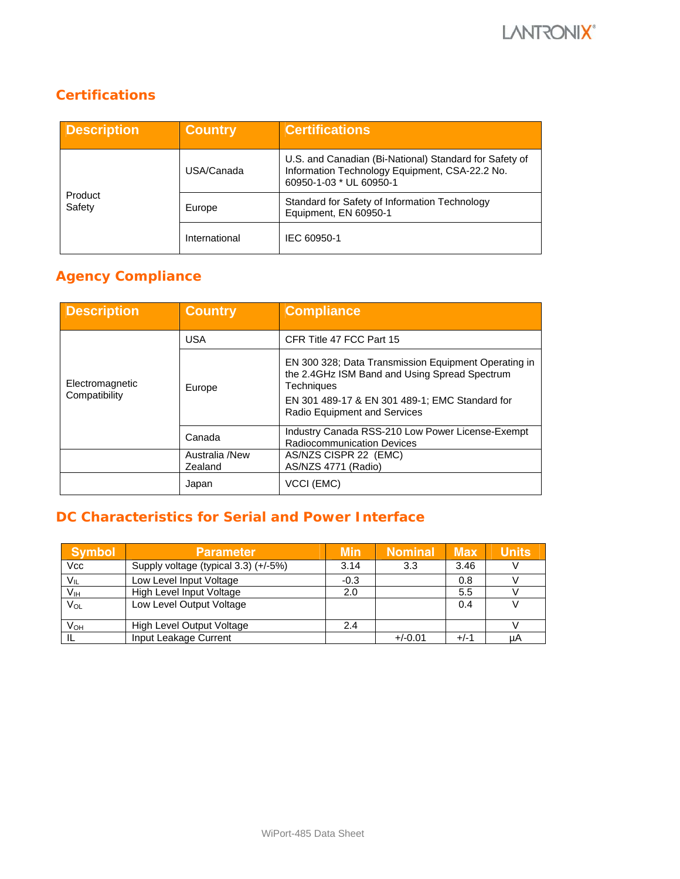## **Certifications**

| <b>Description</b> | <b>Country</b> | <b>Certifications</b>                                                                                                               |
|--------------------|----------------|-------------------------------------------------------------------------------------------------------------------------------------|
| Product<br>Safety  | USA/Canada     | U.S. and Canadian (Bi-National) Standard for Safety of<br>Information Technology Equipment, CSA-22.2 No.<br>60950-1-03 * UL 60950-1 |
|                    | Europe         | Standard for Safety of Information Technology<br>Equipment, EN 60950-1                                                              |
|                    | International  | IEC 60950-1                                                                                                                         |

# **Agency Compliance**

| <b>Description</b>               | <b>Country</b>            | <b>Compliance</b>                                                                                                   |
|----------------------------------|---------------------------|---------------------------------------------------------------------------------------------------------------------|
| Electromagnetic<br>Compatibility | <b>USA</b>                | CFR Title 47 FCC Part 15                                                                                            |
|                                  | Europe                    | EN 300 328; Data Transmission Equipment Operating in<br>the 2.4GHz ISM Band and Using Spread Spectrum<br>Techniques |
|                                  |                           | EN 301 489-17 & EN 301 489-1; EMC Standard for<br><b>Radio Equipment and Services</b>                               |
|                                  | Canada                    | Industry Canada RSS-210 Low Power License-Exempt<br><b>Radiocommunication Devices</b>                               |
|                                  | Australia /New<br>Zealand | AS/NZS CISPR 22 (EMC)<br>AS/NZS 4771 (Radio)                                                                        |
|                                  | Japan                     | VCCI (EMC)                                                                                                          |

## **DC Characteristics for Serial and Power Interface**

| <b>Symbol</b>         | <b>Parameter</b>                     | <b>Min</b> | <b>Nominal</b> | <b>Max</b> | <b>Units</b> |
|-----------------------|--------------------------------------|------------|----------------|------------|--------------|
| Vcc                   | Supply voltage (typical 3.3) (+/-5%) | 3.14       | 3.3            | 3.46       |              |
| $V_{IL}$              | Low Level Input Voltage              | $-0.3$     |                | 0.8        |              |
| V <sub>IH</sub>       | High Level Input Voltage             | 2.0        |                | 5.5        |              |
| $V_{OL}$              | Low Level Output Voltage             |            |                | 0.4        |              |
| <b>V<sub>OH</sub></b> | High Level Output Voltage            | 2.4        |                |            |              |
|                       | Input Leakage Current                |            | $+/-0.01$      | $+/-1$     | uA           |